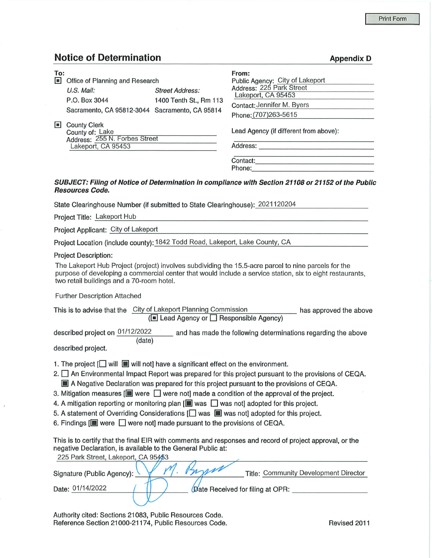**Appendix D** 

## **Notice of Determination**

| To:<br>$\blacksquare$ | Office of Planning and Research<br>$U.S.$ Mail:<br>P.O. Box 3044                              | <b>Street Address:</b><br>1400 Tenth St., Rm 113<br>Sacramento, CA 95812-3044 Sacramento, CA 95814 | From:<br>Public Agency: City of Lakeport<br>Address: 225 Park Street<br>Lakeport, CA 95453<br>Contact: Jennifer M. Byers |
|-----------------------|-----------------------------------------------------------------------------------------------|----------------------------------------------------------------------------------------------------|--------------------------------------------------------------------------------------------------------------------------|
|                       |                                                                                               |                                                                                                    | Phone: (707)263-5615                                                                                                     |
| $\blacksquare$        | <b>County Clerk</b><br>County of: Lake<br>Address: 255 N. Forbes Street<br>Lakeport, CA 95453 |                                                                                                    | Lead Agency (if different from above):<br>Address:                                                                       |
|                       |                                                                                               |                                                                                                    | Contact:<br>Phone:                                                                                                       |
|                       |                                                                                               |                                                                                                    | CUD IECT, Eiling of Notice of Determination in compliance with Ceation 04400 or 04450 of the Dublic                      |

## **SUBJECT: Filing of Notice of Determination in compliance with Section 21108 or 21152 of the Public Resources Code.**

State Clearinghouse Number (if submitted to State Clearinghouse): 2021120204

Project Title: Lakeport Hub

Project Applicant: City of Lakeport

Project Location (include county): 1842 Todd Road, Lakeport, Lake County, CA

Project Description:

The Lakeport Hub Project (project) involves subdividing the 15.5-acre parcel to nine parcels for the purpose of developing a commercial center that would include a service station, six to eight restaurants, two retail buildings and a 70-room hotel.

Further Description Attached

| This is to advise that the      | City of Lakeport Planning Commission<br>$(\blacksquare$ Lead Agency or $\Box$ Responsible Agency) |                                                               | has approved the above |
|---------------------------------|---------------------------------------------------------------------------------------------------|---------------------------------------------------------------|------------------------|
|                                 |                                                                                                   |                                                               |                        |
| described project on 01/12/2022 |                                                                                                   | and has made the following determinations regarding the above |                        |
|                                 | (date)                                                                                            |                                                               |                        |

described project.

- 1. The project  $\Box$  will  $\Box$  will not] have a significant effect on the environment.
- 2.  $\square$  An Environmental Impact Report was prepared for this project pursuant to the provisions of CEQA.  $\blacksquare$  A Negative Declaration was prepared for this project pursuant to the provisions of CEQA.
- 3. Mitigation measures  $[\blacksquare]$  were  $\Box$  were not] made a condition of the approval of the project.
- 4. A mitigation reporting or monitoring plan  $[\blacksquare]$  was  $\Box$  was not] adopted for this project.
- 5. A statement of Overriding Considerations  $\Box$  was  $\Box$  was not] adopted for this project.
- 6. Findings  $[\blacksquare]$  were  $\Box$  were not] made pursuant to the provisions of CEQA.

This is to certify that the final EIR with comments and responses and record of project approval, or the negative Declaration, is available to the General Public at: 225 Park Street, Lakeport, CA 05452

| 225 Park Street, Lakeport, CA 95493 |                                       |
|-------------------------------------|---------------------------------------|
| Signature (Public Agency):          | Title: Community Development Director |
| Date: 01/14/2022                    | Date Received for filing at OPR:      |

Authority cited: Sections 21083, Public Resources Code. Reference Section 21000-21174, Public Resources Code. The Revised 2011